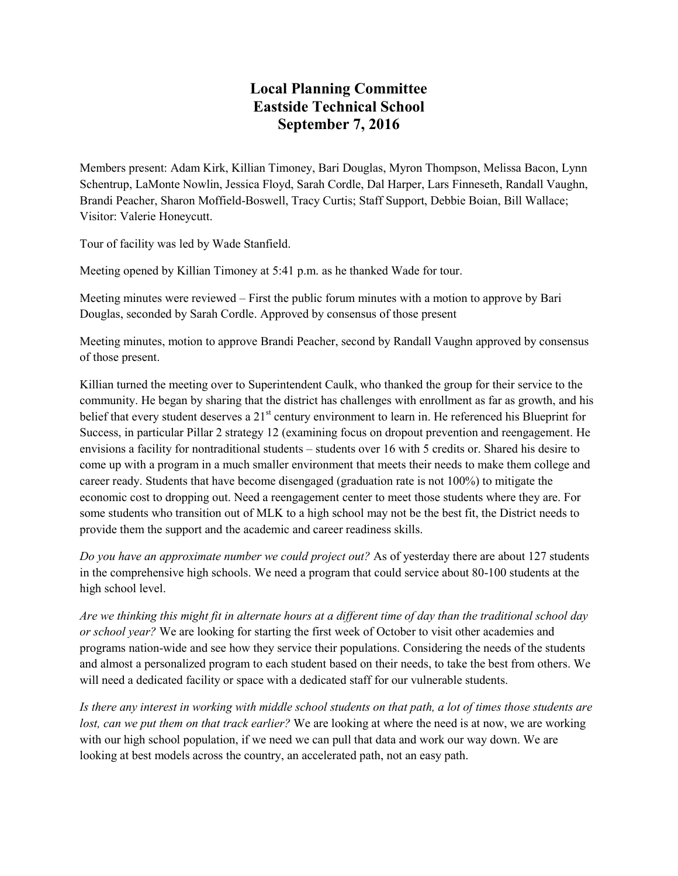## **Local Planning Committee Eastside Technical School September 7, 2016**

Members present: Adam Kirk, Killian Timoney, Bari Douglas, Myron Thompson, Melissa Bacon, Lynn Schentrup, LaMonte Nowlin, Jessica Floyd, Sarah Cordle, Dal Harper, Lars Finneseth, Randall Vaughn, Brandi Peacher, Sharon Moffield-Boswell, Tracy Curtis; Staff Support, Debbie Boian, Bill Wallace; Visitor: Valerie Honeycutt.

Tour of facility was led by Wade Stanfield.

Meeting opened by Killian Timoney at 5:41 p.m. as he thanked Wade for tour.

Meeting minutes were reviewed – First the public forum minutes with a motion to approve by Bari Douglas, seconded by Sarah Cordle. Approved by consensus of those present

Meeting minutes, motion to approve Brandi Peacher, second by Randall Vaughn approved by consensus of those present.

Killian turned the meeting over to Superintendent Caulk, who thanked the group for their service to the community. He began by sharing that the district has challenges with enrollment as far as growth, and his belief that every student deserves a 21<sup>st</sup> century environment to learn in. He referenced his Blueprint for Success, in particular Pillar 2 strategy 12 (examining focus on dropout prevention and reengagement. He envisions a facility for nontraditional students – students over 16 with 5 credits or. Shared his desire to come up with a program in a much smaller environment that meets their needs to make them college and career ready. Students that have become disengaged (graduation rate is not 100%) to mitigate the economic cost to dropping out. Need a reengagement center to meet those students where they are. For some students who transition out of MLK to a high school may not be the best fit, the District needs to provide them the support and the academic and career readiness skills.

*Do you have an approximate number we could project out?* As of yesterday there are about 127 students in the comprehensive high schools. We need a program that could service about 80-100 students at the high school level.

*Are we thinking this might fit in alternate hours at a different time of day than the traditional school day or school year?* We are looking for starting the first week of October to visit other academies and programs nation-wide and see how they service their populations. Considering the needs of the students and almost a personalized program to each student based on their needs, to take the best from others. We will need a dedicated facility or space with a dedicated staff for our vulnerable students.

*Is there any interest in working with middle school students on that path, a lot of times those students are lost, can we put them on that track earlier?* We are looking at where the need is at now, we are working with our high school population, if we need we can pull that data and work our way down. We are looking at best models across the country, an accelerated path, not an easy path.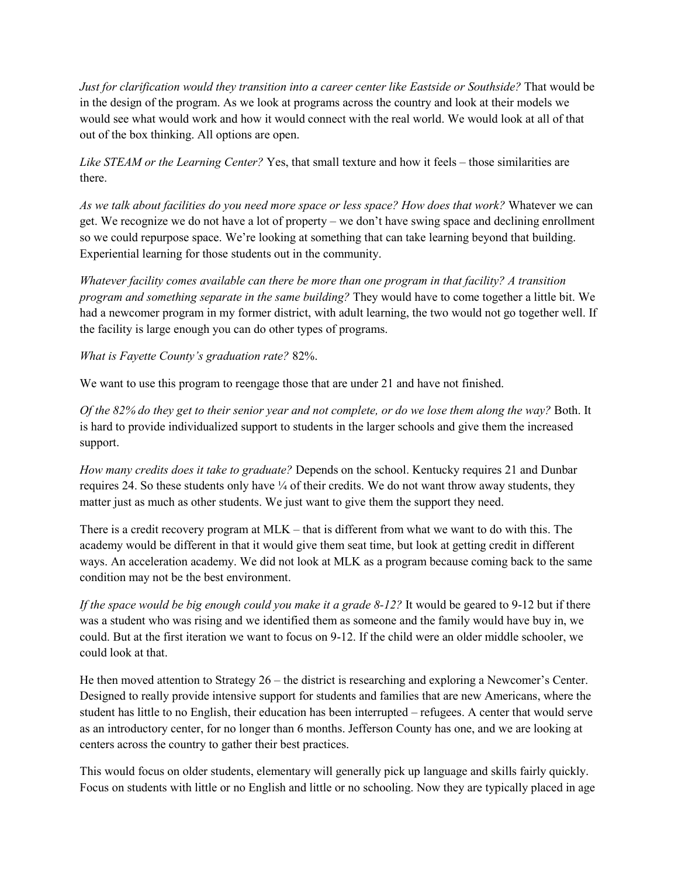*Just for clarification would they transition into a career center like Eastside or Southside?* That would be in the design of the program. As we look at programs across the country and look at their models we would see what would work and how it would connect with the real world. We would look at all of that out of the box thinking. All options are open.

*Like STEAM or the Learning Center?* Yes, that small texture and how it feels – those similarities are there.

*As we talk about facilities do you need more space or less space? How does that work?* Whatever we can get. We recognize we do not have a lot of property – we don't have swing space and declining enrollment so we could repurpose space. We're looking at something that can take learning beyond that building. Experiential learning for those students out in the community.

*Whatever facility comes available can there be more than one program in that facility? A transition program and something separate in the same building?* They would have to come together a little bit. We had a newcomer program in my former district, with adult learning, the two would not go together well. If the facility is large enough you can do other types of programs.

*What is Fayette County's graduation rate?* 82%.

We want to use this program to reengage those that are under 21 and have not finished.

*Of the 82% do they get to their senior year and not complete, or do we lose them along the way?* Both. It is hard to provide individualized support to students in the larger schools and give them the increased support.

*How many credits does it take to graduate?* Depends on the school. Kentucky requires 21 and Dunbar requires 24. So these students only have  $\frac{1}{4}$  of their credits. We do not want throw away students, they matter just as much as other students. We just want to give them the support they need.

There is a credit recovery program at MLK – that is different from what we want to do with this. The academy would be different in that it would give them seat time, but look at getting credit in different ways. An acceleration academy. We did not look at MLK as a program because coming back to the same condition may not be the best environment.

*If the space would be big enough could you make it a grade 8-12?* It would be geared to 9-12 but if there was a student who was rising and we identified them as someone and the family would have buy in, we could. But at the first iteration we want to focus on 9-12. If the child were an older middle schooler, we could look at that.

He then moved attention to Strategy 26 – the district is researching and exploring a Newcomer's Center. Designed to really provide intensive support for students and families that are new Americans, where the student has little to no English, their education has been interrupted – refugees. A center that would serve as an introductory center, for no longer than 6 months. Jefferson County has one, and we are looking at centers across the country to gather their best practices.

This would focus on older students, elementary will generally pick up language and skills fairly quickly. Focus on students with little or no English and little or no schooling. Now they are typically placed in age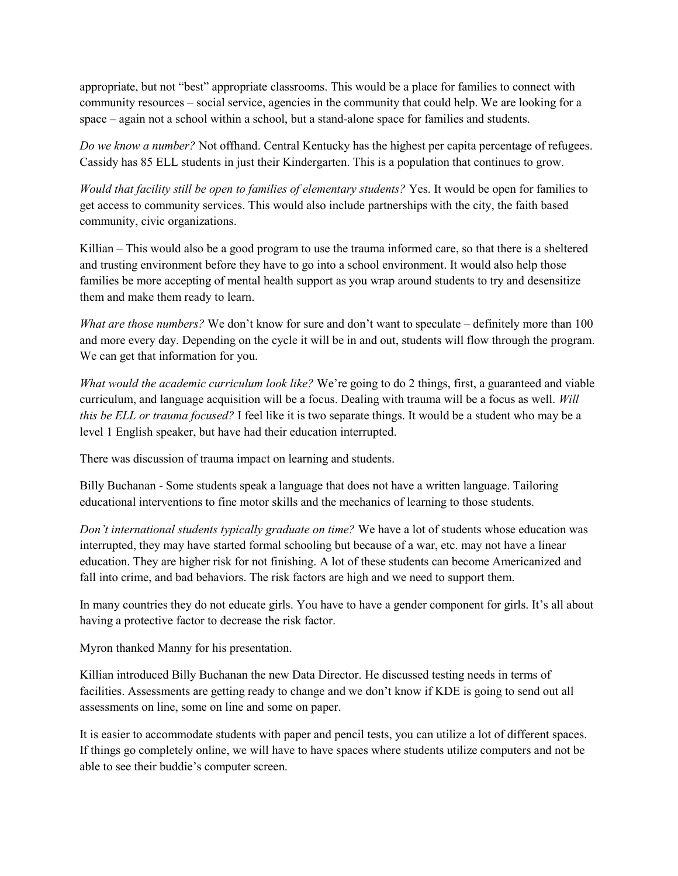appropriate, but not "best" appropriate classrooms. This would be a place for families to connect with community resources – social service, agencies in the community that could help. We are looking for a space – again not a school within a school, but a stand-alone space for families and students.

*Do we know a number?* Not offhand. Central Kentucky has the highest per capita percentage of refugees. Cassidy has 85 ELL students in just their Kindergarten. This is a population that continues to grow.

*Would that facility still be open to families of elementary students?* Yes. It would be open for families to get access to community services. This would also include partnerships with the city, the faith based community, civic organizations.

Killian – This would also be a good program to use the trauma informed care, so that there is a sheltered and trusting environment before they have to go into a school environment. It would also help those families be more accepting of mental health support as you wrap around students to try and desensitize them and make them ready to learn.

*What are those numbers?* We don't know for sure and don't want to speculate – definitely more than 100 and more every day. Depending on the cycle it will be in and out, students will flow through the program. We can get that information for you.

*What would the academic curriculum look like?* We're going to do 2 things, first, a guaranteed and viable curriculum, and language acquisition will be a focus. Dealing with trauma will be a focus as well. *Will this be ELL or trauma focused?* I feel like it is two separate things. It would be a student who may be a level 1 English speaker, but have had their education interrupted.

There was discussion of trauma impact on learning and students.

Billy Buchanan - Some students speak a language that does not have a written language. Tailoring educational interventions to fine motor skills and the mechanics of learning to those students.

*Don't international students typically graduate on time?* We have a lot of students whose education was interrupted, they may have started formal schooling but because of a war, etc. may not have a linear education. They are higher risk for not finishing. A lot of these students can become Americanized and fall into crime, and bad behaviors. The risk factors are high and we need to support them.

In many countries they do not educate girls. You have to have a gender component for girls. It's all about having a protective factor to decrease the risk factor.

Myron thanked Manny for his presentation.

Killian introduced Billy Buchanan the new Data Director. He discussed testing needs in terms of facilities. Assessments are getting ready to change and we don't know if KDE is going to send out all assessments on line, some on line and some on paper.

It is easier to accommodate students with paper and pencil tests, you can utilize a lot of different spaces. If things go completely online, we will have to have spaces where students utilize computers and not be able to see their buddie's computer screen.